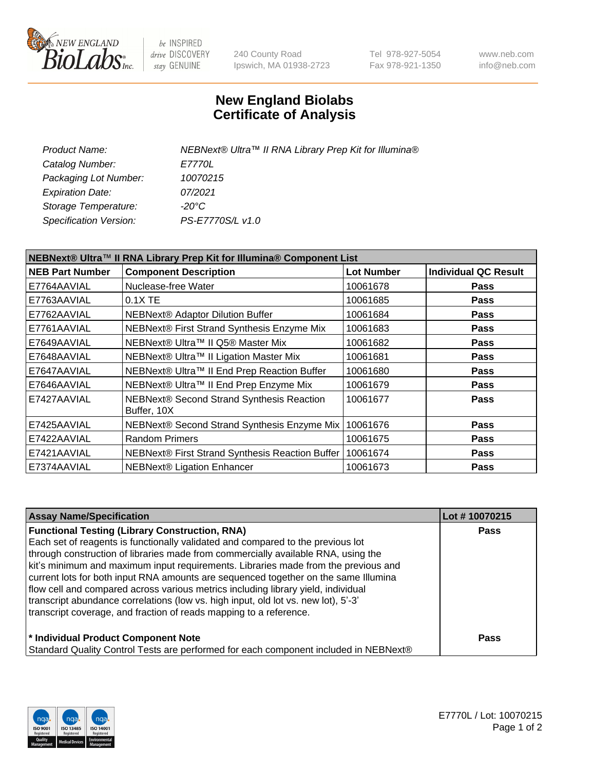

be INSPIRED drive DISCOVERY stay GENUINE

240 County Road Ipswich, MA 01938-2723 Tel 978-927-5054 Fax 978-921-1350 www.neb.com info@neb.com

## **New England Biolabs Certificate of Analysis**

| Product Name:           | NEBNext® Ultra™ II RNA Library Prep Kit for Illumina® |
|-------------------------|-------------------------------------------------------|
| Catalog Number:         | <i>E7770L</i>                                         |
| Packaging Lot Number:   | 10070215                                              |
| <b>Expiration Date:</b> | 07/2021                                               |
| Storage Temperature:    | -20°C                                                 |
| Specification Version:  | PS-E7770S/L v1.0                                      |
|                         |                                                       |

| NEBNext® Ultra™ II RNA Library Prep Kit for Illumina® Component List |                                                          |                   |                             |  |
|----------------------------------------------------------------------|----------------------------------------------------------|-------------------|-----------------------------|--|
| <b>NEB Part Number</b>                                               | <b>Component Description</b>                             | <b>Lot Number</b> | <b>Individual QC Result</b> |  |
| E7764AAVIAL                                                          | Nuclease-free Water                                      | 10061678          | <b>Pass</b>                 |  |
| E7763AAVIAL                                                          | 0.1X TE                                                  | 10061685          | <b>Pass</b>                 |  |
| E7762AAVIAL                                                          | NEBNext® Adaptor Dilution Buffer                         | 10061684          | Pass                        |  |
| E7761AAVIAL                                                          | NEBNext® First Strand Synthesis Enzyme Mix               | 10061683          | <b>Pass</b>                 |  |
| E7649AAVIAL                                                          | NEBNext® Ultra™ II Q5® Master Mix                        | 10061682          | <b>Pass</b>                 |  |
| E7648AAVIAL                                                          | NEBNext® Ultra™ II Ligation Master Mix                   | 10061681          | <b>Pass</b>                 |  |
| E7647AAVIAL                                                          | NEBNext® Ultra™ II End Prep Reaction Buffer              | 10061680          | <b>Pass</b>                 |  |
| E7646AAVIAL                                                          | NEBNext® Ultra™ II End Prep Enzyme Mix                   | 10061679          | <b>Pass</b>                 |  |
| E7427AAVIAL                                                          | NEBNext® Second Strand Synthesis Reaction<br>Buffer, 10X | 10061677          | <b>Pass</b>                 |  |
| E7425AAVIAL                                                          | NEBNext® Second Strand Synthesis Enzyme Mix              | 10061676          | <b>Pass</b>                 |  |
| E7422AAVIAL                                                          | <b>Random Primers</b>                                    | 10061675          | <b>Pass</b>                 |  |
| E7421AAVIAL                                                          | NEBNext® First Strand Synthesis Reaction Buffer          | 10061674          | <b>Pass</b>                 |  |
| E7374AAVIAL                                                          | <b>NEBNext® Ligation Enhancer</b>                        | 10061673          | <b>Pass</b>                 |  |

| <b>Assay Name/Specification</b>                                                      | Lot #10070215 |
|--------------------------------------------------------------------------------------|---------------|
| <b>Functional Testing (Library Construction, RNA)</b>                                | <b>Pass</b>   |
| Each set of reagents is functionally validated and compared to the previous lot      |               |
| through construction of libraries made from commercially available RNA, using the    |               |
| kit's minimum and maximum input requirements. Libraries made from the previous and   |               |
| current lots for both input RNA amounts are sequenced together on the same Illumina  |               |
| flow cell and compared across various metrics including library yield, individual    |               |
| transcript abundance correlations (low vs. high input, old lot vs. new lot), 5'-3'   |               |
| transcript coverage, and fraction of reads mapping to a reference.                   |               |
| * Individual Product Component Note                                                  | Pass          |
| Standard Quality Control Tests are performed for each component included in NEBNext® |               |